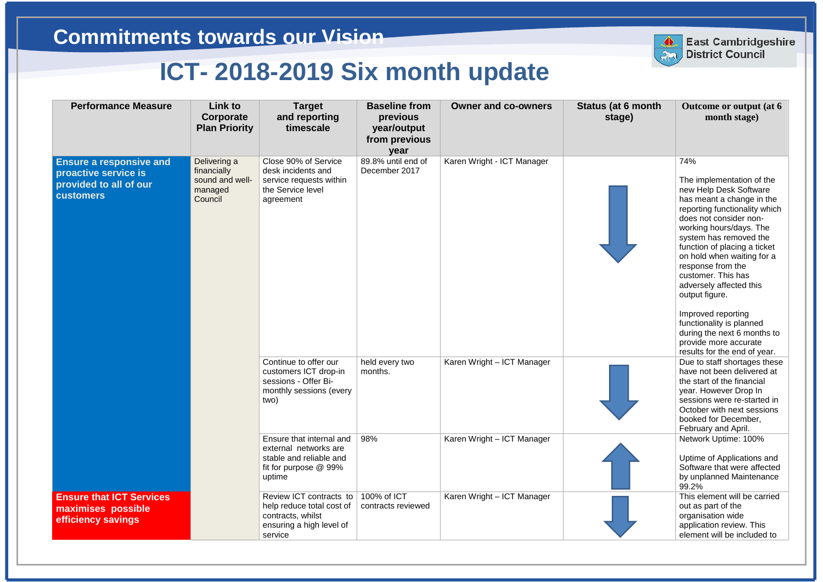| <b>Performance Measure</b>                                                                           | Link to<br>Corporate<br><b>Plan Priority</b>                         | <b>Target</b><br>and reporting<br>timescale                                                                      | <b>Baseline from</b><br>previous<br>year/output<br>from previous<br>year | <b>Owner and co-owners</b> | Status (at 6 month<br>stage) | Outcome or output (at 6<br>month stage)                                                                                                                                                                                                                                                                                                                                                                                                                                                                 |
|------------------------------------------------------------------------------------------------------|----------------------------------------------------------------------|------------------------------------------------------------------------------------------------------------------|--------------------------------------------------------------------------|----------------------------|------------------------------|---------------------------------------------------------------------------------------------------------------------------------------------------------------------------------------------------------------------------------------------------------------------------------------------------------------------------------------------------------------------------------------------------------------------------------------------------------------------------------------------------------|
| <b>Ensure a responsive and</b><br>proactive service is<br>provided to all of our<br><b>customers</b> | Delivering a<br>financially<br>sound and well-<br>managed<br>Council | Close 90% of Service<br>desk incidents and<br>service requests within<br>the Service level<br>agreement          | 89.8% until end of<br>December 2017                                      | Karen Wright - ICT Manager |                              | 74%<br>The implementation of the<br>new Help Desk Software<br>has meant a change in the<br>reporting functionality which<br>does not consider non-<br>working hours/days. The<br>system has removed the<br>function of placing a ticket<br>on hold when waiting for a<br>response from the<br>customer. This has<br>adversely affected this<br>output figure.<br>Improved reporting<br>functionality is planned<br>during the next 6 months to<br>provide more accurate<br>results for the end of year. |
|                                                                                                      |                                                                      | Continue to offer our<br>customers ICT drop-in<br>sessions - Offer Bi-<br>monthly sessions (every<br>two)        | held every two<br>months.                                                | Karen Wright - ICT Manager |                              | Due to staff shortages these<br>have not been delivered at<br>the start of the financial<br>year. However Drop In<br>sessions were re-started in<br>October with next sessions<br>booked for December,<br>February and April.                                                                                                                                                                                                                                                                           |
|                                                                                                      |                                                                      | Ensure that internal and<br>external networks are<br>stable and reliable and<br>fit for purpose @ 99%<br>uptime  | 98%                                                                      | Karen Wright - ICT Manager |                              | Network Uptime: 100%<br>Uptime of Applications and<br>Software that were affected<br>by unplanned Maintenance<br>99.2%                                                                                                                                                                                                                                                                                                                                                                                  |
| <b>Ensure that ICT Services</b><br>maximises possible<br>efficiency savings                          |                                                                      | Review ICT contracts to<br>help reduce total cost of<br>contracts, whilst<br>ensuring a high level of<br>service | 100% of ICT<br>contracts reviewed                                        | Karen Wright - ICT Manager |                              | This element will be carried<br>out as part of the<br>organisation wide<br>application review. This<br>element will be included to                                                                                                                                                                                                                                                                                                                                                                      |



**East Cambridgeshire District Council**

## **East Cambridgeshire District Council**

## **Commitments towards our Vision**

## **ICT- 2018-2019 Six month update**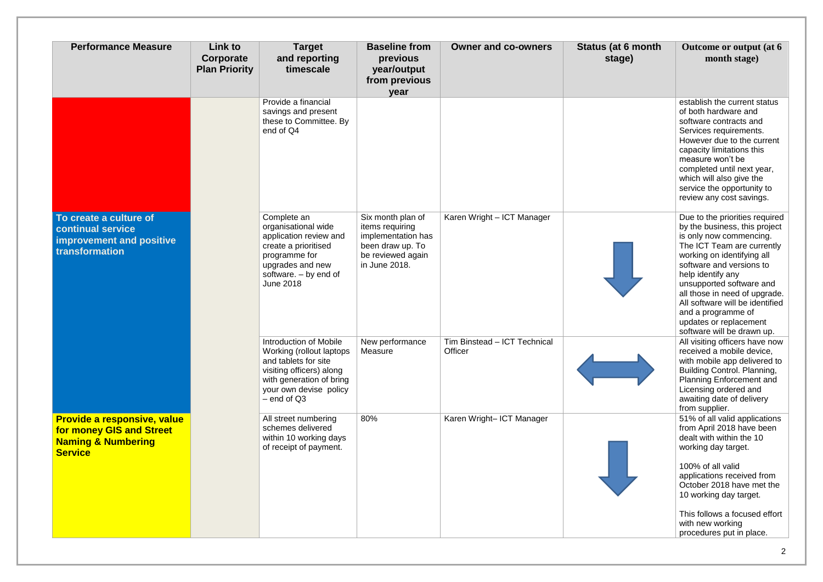| <b>Performance Measure</b>                                                                                 | Link to<br>Corporate<br><b>Plan Priority</b> | <b>Target</b><br>and reporting<br>timescale                                                                                                                                      | <b>Baseline from</b><br>previous<br>year/output<br>from previous<br>year                                             | <b>Owner and co-owners</b>              | <b>Status (at 6 month</b><br>stage) | Outcome or output (at 6<br>month stage)                                                                                                                                                                                                                                                                                                                                               |
|------------------------------------------------------------------------------------------------------------|----------------------------------------------|----------------------------------------------------------------------------------------------------------------------------------------------------------------------------------|----------------------------------------------------------------------------------------------------------------------|-----------------------------------------|-------------------------------------|---------------------------------------------------------------------------------------------------------------------------------------------------------------------------------------------------------------------------------------------------------------------------------------------------------------------------------------------------------------------------------------|
|                                                                                                            |                                              | Provide a financial<br>savings and present<br>these to Committee. By<br>end of Q4                                                                                                |                                                                                                                      |                                         |                                     | establish the current status<br>of both hardware and<br>software contracts and<br>Services requirements.<br>However due to the current<br>capacity limitations this<br>measure won't be<br>completed until next year,<br>which will also give the<br>service the opportunity to<br>review any cost savings.                                                                           |
| To create a culture of<br><b>continual service</b><br><b>improvement and positive</b><br>transformation    |                                              | Complete an<br>organisational wide<br>application review and<br>create a prioritised<br>programme for<br>upgrades and new<br>software. $-$ by end of<br><b>June 2018</b>         | Six month plan of<br>items requiring<br>implementation has<br>been draw up. To<br>be reviewed again<br>in June 2018. | Karen Wright - ICT Manager              |                                     | Due to the priorities required<br>by the business, this project<br>is only now commencing.<br>The ICT Team are currently<br>working on identifying all<br>software and versions to<br>help identify any<br>unsupported software and<br>all those in need of upgrade.<br>All software will be identified<br>and a programme of<br>updates or replacement<br>software will be drawn up. |
|                                                                                                            |                                              | Introduction of Mobile<br>Working (rollout laptops)<br>and tablets for site<br>visiting officers) along<br>with generation of bring<br>your own devise policy<br>$-$ end of $Q3$ | New performance<br>Measure                                                                                           | Tim Binstead - ICT Technical<br>Officer |                                     | All visiting officers have now<br>received a mobile device,<br>with mobile app delivered to<br><b>Building Control. Planning,</b><br><b>Planning Enforcement and</b><br>Licensing ordered and<br>awaiting date of delivery<br>from supplier.                                                                                                                                          |
| Provide a responsive, value<br>for money GIS and Street<br><b>Naming &amp; Numbering</b><br><b>Service</b> |                                              | All street numbering<br>schemes delivered<br>within 10 working days<br>of receipt of payment.                                                                                    | 80%                                                                                                                  | Karen Wright- ICT Manager               |                                     | 51% of all valid applications<br>from April 2018 have been<br>dealt with within the 10<br>working day target.<br>100% of all valid<br>applications received from<br>October 2018 have met the<br>10 working day target.<br>This follows a focused effort                                                                                                                              |
|                                                                                                            |                                              |                                                                                                                                                                                  |                                                                                                                      |                                         |                                     | with new working<br>procedures put in place.                                                                                                                                                                                                                                                                                                                                          |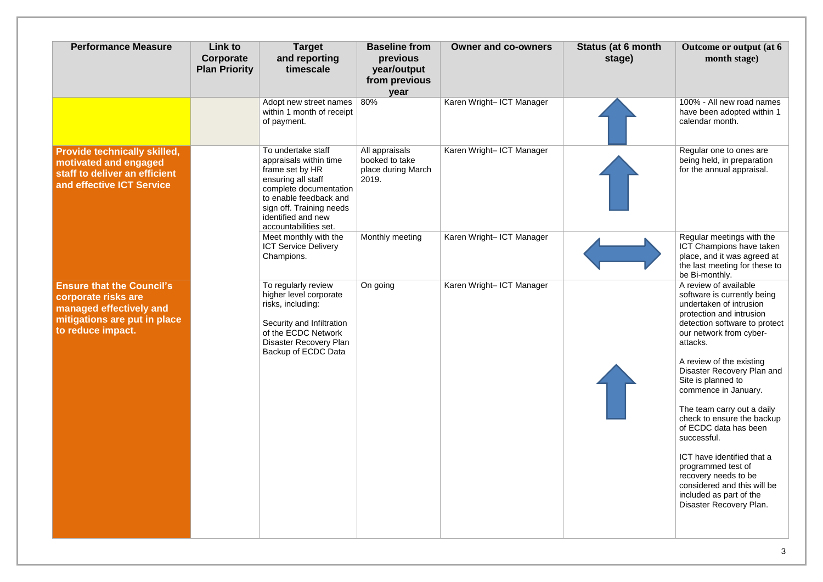| <b>Performance Measure</b>                                                                                                              | Link to<br>Corporate<br><b>Plan Priority</b> | <b>Target</b><br>and reporting<br>timescale                                                                                                                                                                          | <b>Baseline from</b><br>previous<br>year/output<br>from previous<br>year | <b>Owner and co-owners</b> | <b>Status (at 6 month</b><br>stage) | Outcome or output (at 6<br>month stage)                                                                                                                                                                                                                                                                                                                                                                                                             |
|-----------------------------------------------------------------------------------------------------------------------------------------|----------------------------------------------|----------------------------------------------------------------------------------------------------------------------------------------------------------------------------------------------------------------------|--------------------------------------------------------------------------|----------------------------|-------------------------------------|-----------------------------------------------------------------------------------------------------------------------------------------------------------------------------------------------------------------------------------------------------------------------------------------------------------------------------------------------------------------------------------------------------------------------------------------------------|
|                                                                                                                                         |                                              | Adopt new street names<br>within 1 month of receipt<br>of payment.                                                                                                                                                   | 80%                                                                      | Karen Wright- ICT Manager  |                                     | 100% - All new road names<br>have been adopted within 1<br>calendar month.                                                                                                                                                                                                                                                                                                                                                                          |
| <b>Provide technically skilled,</b><br>motivated and engaged<br>staff to deliver an efficient<br>and effective ICT Service              |                                              | To undertake staff<br>appraisals within time<br>frame set by HR<br>ensuring all staff<br>complete documentation<br>to enable feedback and<br>sign off. Training needs<br>identified and new<br>accountabilities set. | All appraisals<br>booked to take<br>place during March<br>2019.          | Karen Wright- ICT Manager  |                                     | Regular one to ones are<br>being held, in preparation<br>for the annual appraisal.                                                                                                                                                                                                                                                                                                                                                                  |
|                                                                                                                                         |                                              | Meet monthly with the<br><b>ICT Service Delivery</b><br>Champions.                                                                                                                                                   | Monthly meeting                                                          | Karen Wright- ICT Manager  |                                     | Regular meetings with the<br>ICT Champions have taken<br>place, and it was agreed at<br>the last meeting for these to<br>be Bi-monthly.                                                                                                                                                                                                                                                                                                             |
| <b>Ensure that the Council's</b><br>corporate risks are<br>managed effectively and<br>mitigations are put in place<br>to reduce impact. |                                              | To regularly review<br>higher level corporate<br>risks, including:<br>Security and Infiltration<br>of the ECDC Network<br>Disaster Recovery Plan<br>Backup of ECDC Data                                              | On going                                                                 | Karen Wright- ICT Manager  |                                     | A review of available<br>software is currently being<br>undertaken of intrusion<br>protection and intrusion<br>detection software to protect<br>our network from cyber-<br>attacks.<br>A review of the existing<br>Disaster Recovery Plan and<br>Site is planned to<br>commence in January.<br>The team carry out a daily<br>check to ensure the backup<br>of ECDC data has been<br>successful.<br>ICT have identified that a<br>programmed test of |
|                                                                                                                                         |                                              |                                                                                                                                                                                                                      |                                                                          |                            |                                     | recovery needs to be<br>considered and this will be<br>included as part of the<br>Disaster Recovery Plan.                                                                                                                                                                                                                                                                                                                                           |